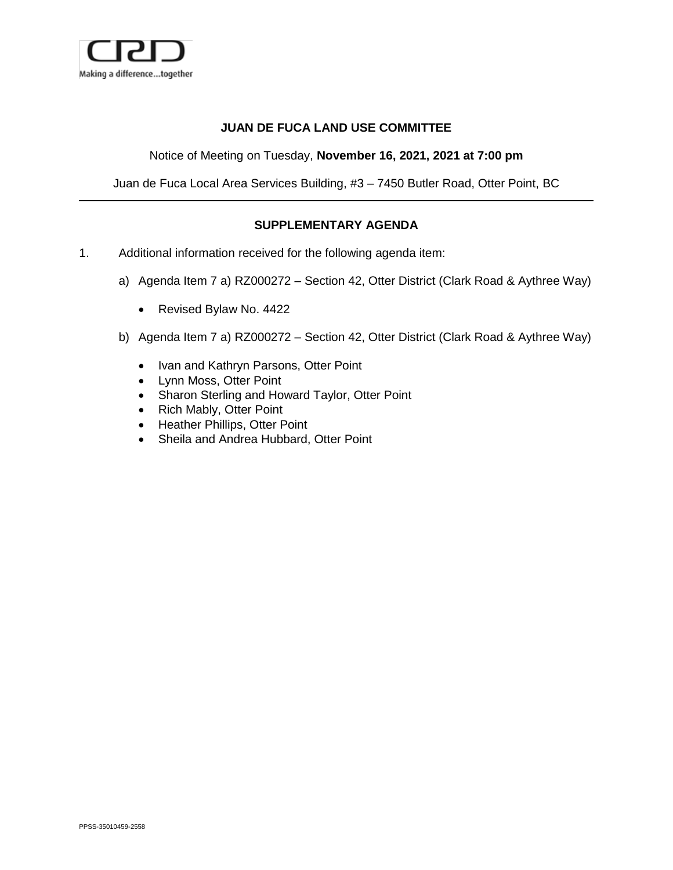

## **JUAN DE FUCA LAND USE COMMITTEE**

Notice of Meeting on Tuesday, **November 16, 2021, 2021 at 7:00 pm**

Juan de Fuca Local Area Services Building, #3 – 7450 Butler Road, Otter Point, BC

## **SUPPLEMENTARY AGENDA**

- 1. Additional information received for the following agenda item:
	- a) Agenda Item 7 a) RZ000272 Section 42, Otter District (Clark Road & Aythree Way)
		- Revised Bylaw No. 4422
	- b) Agenda Item 7 a) RZ000272 Section 42, Otter District (Clark Road & Aythree Way)
		- Ivan and Kathryn Parsons, Otter Point
		- Lynn Moss, Otter Point
		- Sharon Sterling and Howard Taylor, Otter Point
		- Rich Mably, Otter Point
		- Heather Phillips, Otter Point
		- Sheila and Andrea Hubbard, Otter Point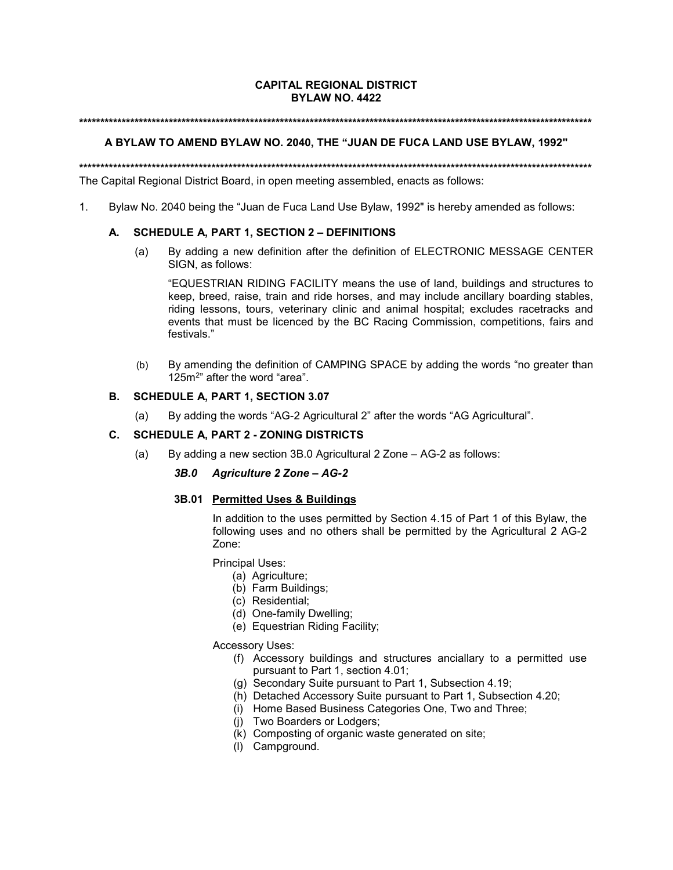### **CAPITAL REGIONAL DISTRICT BYLAW NO. 4422**

#### **\*\*\*\*\*\*\*\*\*\*\*\*\*\*\*\*\*\*\*\*\*\*\*\*\*\*\*\*\*\*\*\*\*\*\*\*\*\*\*\*\*\*\*\*\*\*\*\*\*\*\*\*\*\*\*\*\*\*\*\*\*\*\*\*\*\*\*\*\*\*\*\*\*\*\*\*\*\*\*\*\*\*\*\*\*\*\*\*\*\*\*\*\*\*\*\*\*\*\*\*\*\*\*\*\*\*\*\*\*\*\*\*\*\*\*\*\*\*\*\***

#### **A BYLAW TO AMEND BYLAW NO. 2040, THE "JUAN DE FUCA LAND USE BYLAW, 1992"**

**\*\*\*\*\*\*\*\*\*\*\*\*\*\*\*\*\*\*\*\*\*\*\*\*\*\*\*\*\*\*\*\*\*\*\*\*\*\*\*\*\*\*\*\*\*\*\*\*\*\*\*\*\*\*\*\*\*\*\*\*\*\*\*\*\*\*\*\*\*\*\*\*\*\*\*\*\*\*\*\*\*\*\*\*\*\*\*\*\*\*\*\*\*\*\*\*\*\*\*\*\*\*\*\*\*\*\*\*\*\*\*\*\*\*\*\*\*\*\*\*** The Capital Regional District Board, in open meeting assembled, enacts as follows:

1. Bylaw No. 2040 being the "Juan de Fuca Land Use Bylaw, 1992" is hereby amended as follows:

### **A. SCHEDULE A, PART 1, SECTION 2 – DEFINITIONS**

(a) By adding a new definition after the definition of ELECTRONIC MESSAGE CENTER SIGN, as follows:

"EQUESTRIAN RIDING FACILITY means the use of land, buildings and structures to keep, breed, raise, train and ride horses, and may include ancillary boarding stables, riding lessons, tours, veterinary clinic and animal hospital; excludes racetracks and events that must be licenced by the BC Racing Commission, competitions, fairs and festivals."

(b) By amending the definition of CAMPING SPACE by adding the words "no greater than 125m2" after the word "area".

#### **B. SCHEDULE A, PART 1, SECTION 3.07**

(a) By adding the words "AG-2 Agricultural 2" after the words "AG Agricultural".

### **C. SCHEDULE A, PART 2 - ZONING DISTRICTS**

(a) By adding a new section 3B.0 Agricultural 2 Zone – AG-2 as follows:

#### *3B.0 Agriculture 2 Zone – AG-2*

### **3B.01 Permitted Uses & Buildings**

In addition to the uses permitted by Section 4.15 of Part 1 of this Bylaw, the following uses and no others shall be permitted by the Agricultural 2 AG-2 Zone:

Principal Uses:

- (a) Agriculture;
- (b) Farm Buildings;
- (c) Residential;
- (d) One-family Dwelling;
- (e) Equestrian Riding Facility;

Accessory Uses:

- (f) Accessory buildings and structures anciallary to a permitted use pursuant to Part 1, section 4.01;
- (g) Secondary Suite pursuant to Part 1, Subsection 4.19;
- (h) Detached Accessory Suite pursuant to Part 1, Subsection 4.20;
- (i) Home Based Business Categories One, Two and Three;
- (j) Two Boarders or Lodgers;
- (k) Composting of organic waste generated on site;
- (l) Campground.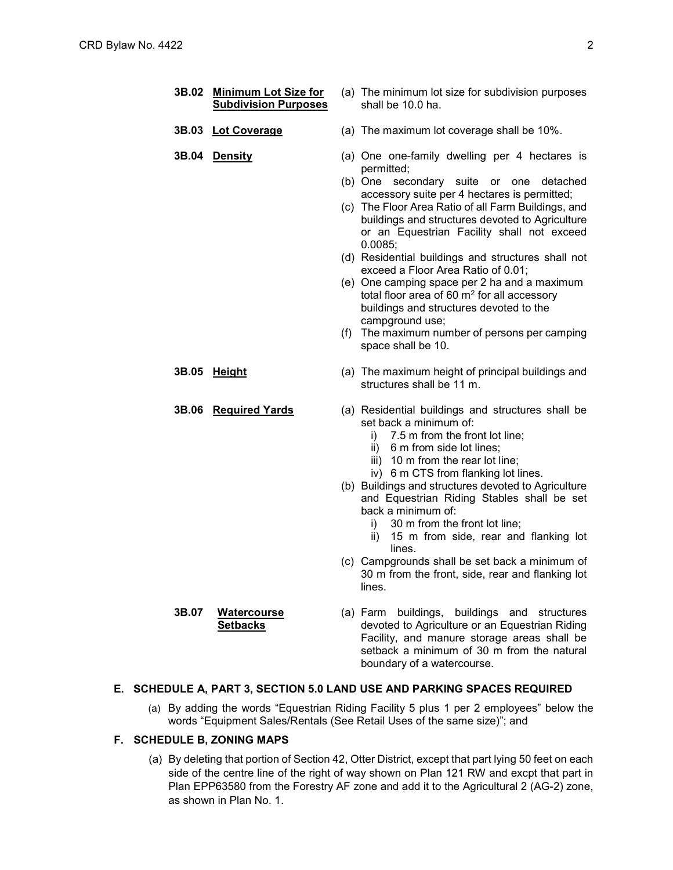| 3B.02 | <u>Minimum Lot Size for</u><br><b>Subdivision Purposes</b> | (a) The minimum lot size for subdivision purposes<br>shall be 10.0 ha.                                                                                                                                                                                                                                                                                                                                                                                                                                                                                                                                                                                            |
|-------|------------------------------------------------------------|-------------------------------------------------------------------------------------------------------------------------------------------------------------------------------------------------------------------------------------------------------------------------------------------------------------------------------------------------------------------------------------------------------------------------------------------------------------------------------------------------------------------------------------------------------------------------------------------------------------------------------------------------------------------|
| 3B.03 | <b>Lot Coverage</b>                                        | (a) The maximum lot coverage shall be 10%.                                                                                                                                                                                                                                                                                                                                                                                                                                                                                                                                                                                                                        |
| 3B.04 | <b>Density</b>                                             | (a) One one-family dwelling per 4 hectares is<br>permitted;<br>(b) One<br>secondary suite or one<br>detached<br>accessory suite per 4 hectares is permitted;<br>(c) The Floor Area Ratio of all Farm Buildings, and<br>buildings and structures devoted to Agriculture<br>or an Equestrian Facility shall not exceed<br>0.0085;<br>(d) Residential buildings and structures shall not<br>exceed a Floor Area Ratio of 0.01;<br>(e) One camping space per 2 ha and a maximum<br>total floor area of 60 $m2$ for all accessory<br>buildings and structures devoted to the<br>campground use;<br>(f) The maximum number of persons per camping<br>space shall be 10. |
|       | 3B.05 Height                                               | (a) The maximum height of principal buildings and<br>structures shall be 11 m.                                                                                                                                                                                                                                                                                                                                                                                                                                                                                                                                                                                    |
|       | 3B.06 Required Yards                                       | (a) Residential buildings and structures shall be<br>set back a minimum of:<br>$i)$ 7.5 m from the front lot line;<br>6 m from side lot lines;<br>ii)<br>iii) 10 m from the rear lot line;<br>iv) 6 m CTS from flanking lot lines.<br>(b) Buildings and structures devoted to Agriculture<br>and Equestrian Riding Stables shall be set<br>back a minimum of:<br>30 m from the front lot line;<br>İ).<br>15 m from side, rear and flanking lot<br>ii)<br>lines.                                                                                                                                                                                                   |
|       |                                                            | (c) Campgrounds shall be set back a minimum of<br>30 m from the front, side, rear and flanking lot<br>lines.                                                                                                                                                                                                                                                                                                                                                                                                                                                                                                                                                      |
| 3B.07 | <b>Watercourse</b><br><b>Setbacks</b>                      | (a) Farm buildings, buildings and structures<br>devoted to Agriculture or an Equestrian Riding<br>Facility, and manure storage areas shall be<br>setback a minimum of 30 m from the natural<br>boundary of a watercourse.                                                                                                                                                                                                                                                                                                                                                                                                                                         |

## **E. SCHEDULE A, PART 3, SECTION 5.0 LAND USE AND PARKING SPACES REQUIRED**

(a) By adding the words "Equestrian Riding Facility 5 plus 1 per 2 employees" below the words "Equipment Sales/Rentals (See Retail Uses of the same size)"; and

### **F. SCHEDULE B, ZONING MAPS**

(a) By deleting that portion of Section 42, Otter District, except that part lying 50 feet on each side of the centre line of the right of way shown on Plan 121 RW and excpt that part in Plan EPP63580 from the Forestry AF zone and add it to the Agricultural 2 (AG-2) zone, as shown in Plan No. 1.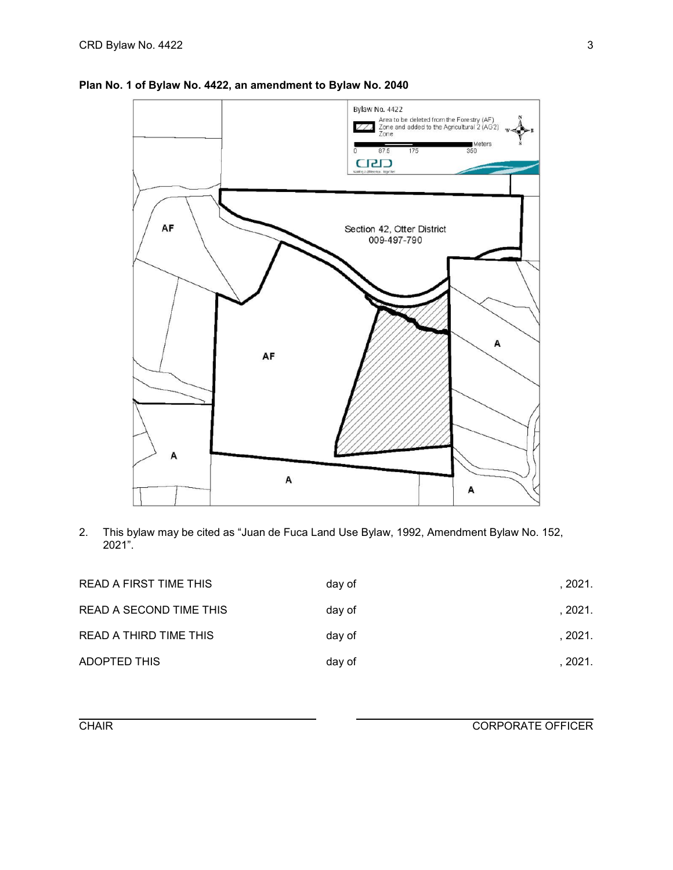

## **Plan No. 1 of Bylaw No. 4422, an amendment to Bylaw No. 2040**

2. This bylaw may be cited as "Juan de Fuca Land Use Bylaw, 1992, Amendment Bylaw No. 152, 2021".

| READ A FIRST TIME THIS  | day of | , 2021. |
|-------------------------|--------|---------|
| READ A SECOND TIME THIS | day of | . 2021. |
| READ A THIRD TIME THIS  | day of | . 2021. |
| <b>ADOPTED THIS</b>     | day of | . 2021. |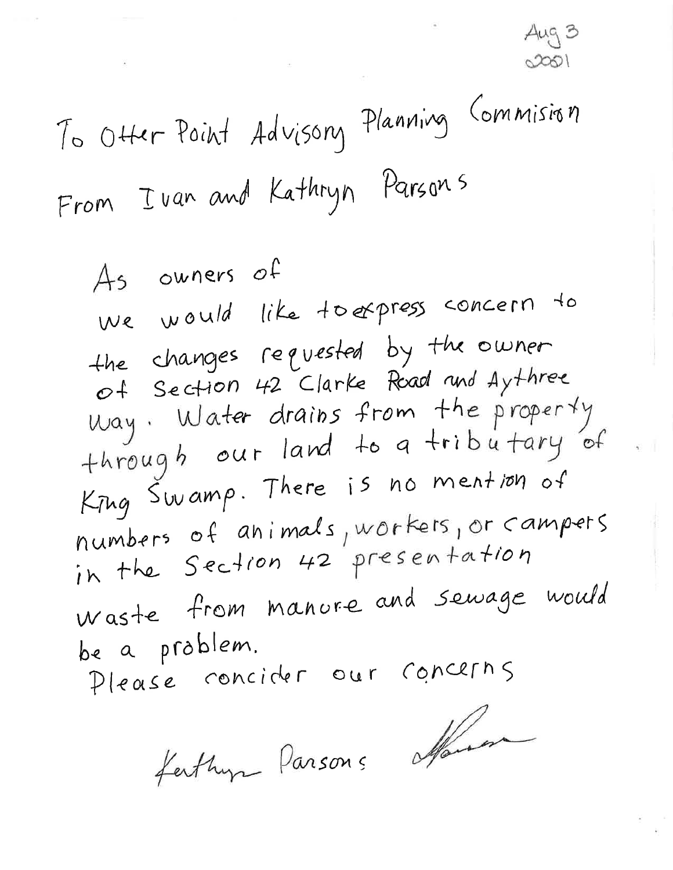Aug 3  $0001$ 

To Otter Point Advisory Planning Commision From I van and Kathryn Parsons

As owners of we would like toexpress concern to the changes requested by the owner of Section 42 Clarke Road and Aythree Way. Water drains from the property<br>through our land to a tributary of Krug Swamp. There is no mention of numbers of animals, workers, or campers in the Section 42 presentation Waste from manure and sewage would be a problem. Please concider our concerns

fathur Parsons affairem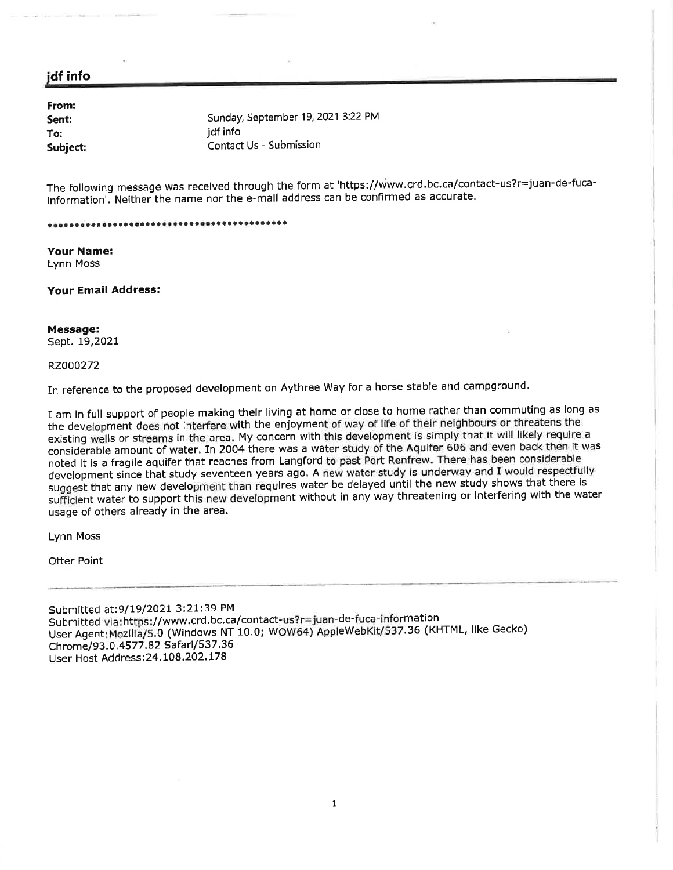## jdf info

| From:    |                                    |
|----------|------------------------------------|
| Sent:    | Sunday, September 19, 2021 3:22 PM |
| To:      | idf info                           |
| Subject: | Contact Us - Submission            |

The following message was received through the form at 'https://www.crd.bc.ca/contact-us?r=juan-de-fucainformation'. Neither the name nor the e-mall address can be confirmed as accurate.

#### 

**Your Name: Lynn Moss** 

**Your Email Address:** 

#### Message: Sept. 19,2021

#### RZ000272

In reference to the proposed development on Aythree Way for a horse stable and campground.

I am in full support of people making their living at home or close to home rather than commuting as long as the development does not interfere with the enjoyment of way of life of their neighbours or threatens the existing wells or streams in the area. My concern with this development is simply that it will likely require a considerable amount of water. In 2004 there was a water study of the Aquifer 606 and even back then it was noted it is a fragile aquifer that reaches from Langford to past Port Renfrew. There has been considerable development since that study seventeen years ago. A new water study is underway and I would respectfully suggest that any new development than requires water be delayed until the new study shows that there is sufficient water to support this new development without in any way threatening or interfering with the water usage of others already in the area.

**Lynn Moss** 

Otter Point

Submitted at:9/19/2021 3:21:39 PM Submitted via:https://www.crd.bc.ca/contact-us?r=juan-de-fuca-information User Agent: Mozilla/5.0 (Windows NT 10.0; WOW64) AppleWebKit/537.36 (KHTML, like Gecko) Chrome/93.0.4577.82 Safarl/537.36 User Host Address: 24.108.202.178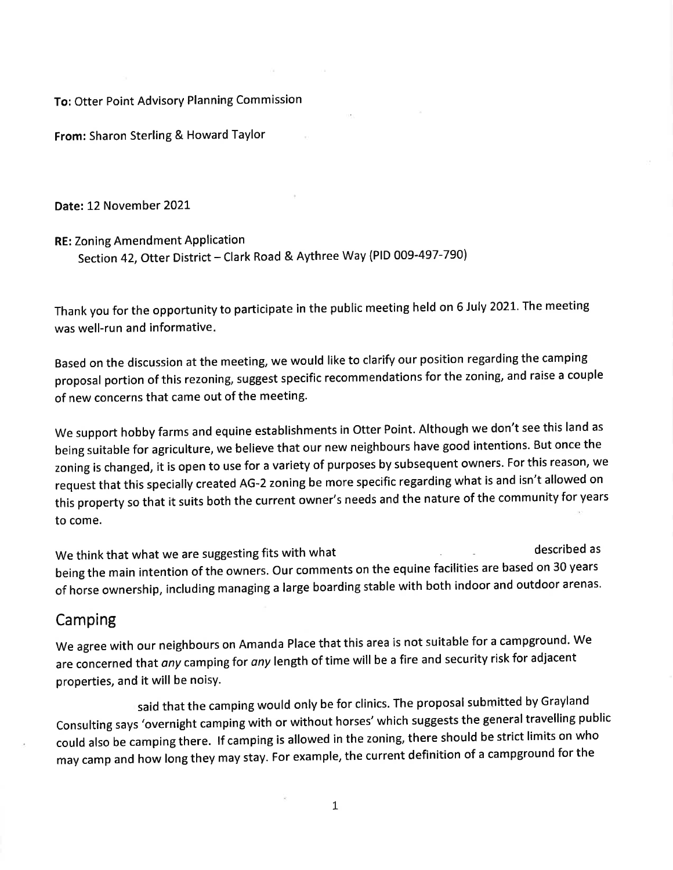To: Otter Point Advisory Planning Commission

From: Sharon Sterling & Howard Taylor

Date: 12 November 2021

**RE: Zoning Amendment Application** 

Section 42, Otter District - Clark Road & Aythree Way (PID 009-497-790)

Thank you for the opportunity to participate in the public meeting held on 6 July 2021. The meeting was well-run and informative.

Based on the discussion at the meeting, we would like to clarify our position regarding the camping proposal portion of this rezoning, suggest specific recommendations for the zoning, and raise a couple of new concerns that came out of the meeting.

We support hobby farms and equine establishments in Otter Point. Although we don't see this land as being suitable for agriculture, we believe that our new neighbours have good intentions. But once the zoning is changed, it is open to use for a variety of purposes by subsequent owners. For this reason, we request that this specially created AG-2 zoning be more specific regarding what is and isn't allowed on this property so that it suits both the current owner's needs and the nature of the community for years to come.

described as We think that what we are suggesting fits with what being the main intention of the owners. Our comments on the equine facilities are based on 30 years of horse ownership, including managing a large boarding stable with both indoor and outdoor arenas.

# Camping

We agree with our neighbours on Amanda Place that this area is not suitable for a campground. We are concerned that any camping for any length of time will be a fire and security risk for adjacent properties, and it will be noisy.

said that the camping would only be for clinics. The proposal submitted by Grayland Consulting says 'overnight camping with or without horses' which suggests the general travelling public could also be camping there. If camping is allowed in the zoning, there should be strict limits on who may camp and how long they may stay. For example, the current definition of a campground for the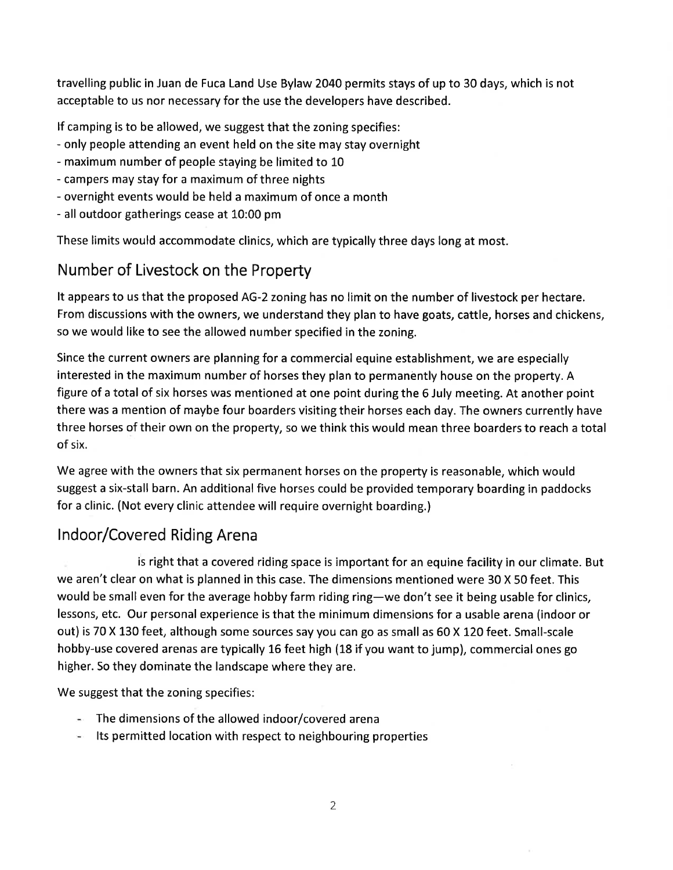travelling public in Juan de Fuca Land Use Bylaw 2040 permits stays of up to 30 days, which is not acceptable to us nor necessary for the use the developers have described.

If camping is to be allowed, we suggest that the zoning specifies:

- only people attending an event held on the site may stay overnight
- maximum number of people staying be limited to 10
- campers may stay for a maximum of three nights
- overnight events would be held a maximum of once a month
- all outdoor gatherings cease at 10:00 pm

These limits would accommodate clinics, which are typically three days long at most.

# Number of Livestock on the Property

It appears to us that the proposed AG-2 zoning has no limit on the number of livestock per hectare. From discussions with the owners, we understand they plan to have goats, cattle, horses and chickens, so we would like to see the allowed number specified in the zoning.

Since the current owners are planning for a commercial equine establishment, we are especially interested in the maximum number of horses they plan to permanently house on the property. A figure of a total of six horses was mentioned at one point during the 6 July meeting. At another point there was a mention of maybe four boarders visiting their horses each day. The owners currently have three horses of their own on the property, so we think this would mean three boarders to reach a total of six.

We agree with the owners that six permanent horses on the property is reasonable, which would suggest a six-stall barn. An additional five horses could be provided temporary boarding in paddocks for a clinic. (Not every clinic attendee will require overnight boarding.)

# Indoor/Covered Riding Arena

is right that a covered riding space is important for an equine facility in our climate. But we aren't clear on what is planned in this case. The dimensions mentioned were 30 X 50 feet. This would be small even for the average hobby farm riding ring-we don't see it being usable for clinics, lessons, etc. Our personal experience is that the minimum dimensions for a usable arena (indoor or out) is 70 X 130 feet, although some sources say you can go as small as 60 X 120 feet. Small-scale hobby-use covered arenas are typically 16 feet high (18 if you want to jump), commercial ones go higher. So they dominate the landscape where they are.

We suggest that the zoning specifies:

- $\sim$  The dimensions of the allowed indoor/covered arena
- Its permitted location with respect to neighbouring properties an i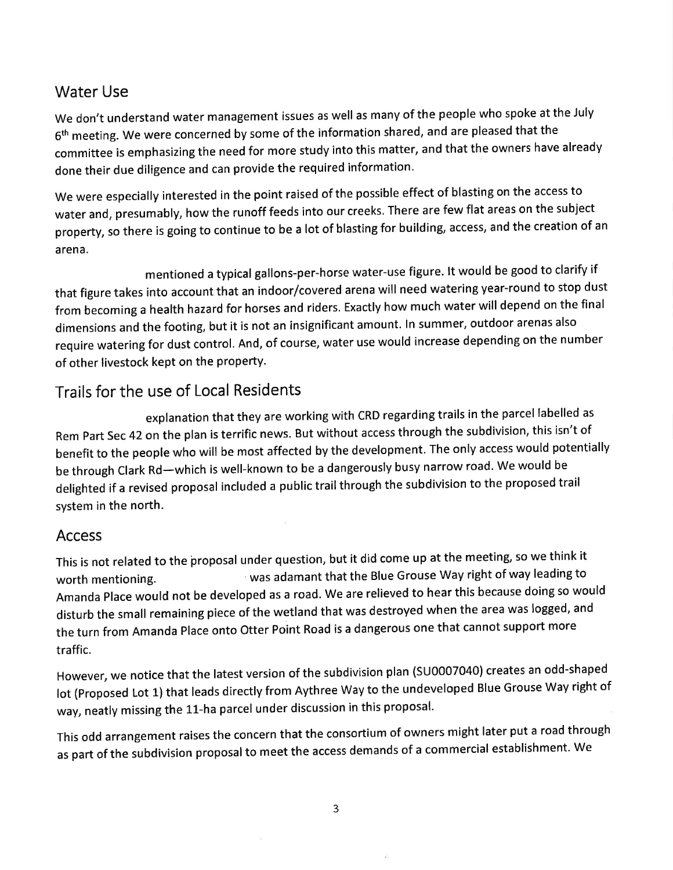# **Water Use**

We don't understand water management issues as well as many of the people who spoke at the July 6<sup>th</sup> meeting. We were concerned by some of the information shared, and are pleased that the committee is emphasizing the need for more study into this matter, and that the owners have already done their due diligence and can provide the required information.

We were especially interested in the point raised of the possible effect of blasting on the access to water and, presumably, how the runoff feeds into our creeks. There are few flat areas on the subject property, so there is going to continue to be a lot of blasting for building, access, and the creation of an arena.

mentioned a typical gallons-per-horse water-use figure. It would be good to clarify if that figure takes into account that an indoor/covered arena will need watering year-round to stop dust from becoming a health hazard for horses and riders. Exactly how much water will depend on the final dimensions and the footing, but it is not an insignificant amount. In summer, outdoor arenas also require watering for dust control. And, of course, water use would increase depending on the number of other livestock kept on the property.

# Trails for the use of Local Residents

explanation that they are working with CRD regarding trails in the parcel labelled as Rem Part Sec 42 on the plan is terrific news. But without access through the subdivision, this isn't of benefit to the people who will be most affected by the development. The only access would potentially be through Clark Rd—which is well-known to be a dangerously busy narrow road. We would be delighted if a revised proposal included a public trail through the subdivision to the proposed trail system in the north.

# **Access**

This is not related to the proposal under question, but it did come up at the meeting, so we think it was adamant that the Blue Grouse Way right of way leading to worth mentioning. Amanda Place would not be developed as a road. We are relieved to hear this because doing so would disturb the small remaining piece of the wetland that was destroyed when the area was logged, and the turn from Amanda Place onto Otter Point Road is a dangerous one that cannot support more traffic.

However, we notice that the latest version of the subdivision plan (SU0007040) creates an odd-shaped lot (Proposed Lot 1) that leads directly from Aythree Way to the undeveloped Blue Grouse Way right of way, neatly missing the 11-ha parcel under discussion in this proposal.

This odd arrangement raises the concern that the consortium of owners might later put a road through as part of the subdivision proposal to meet the access demands of a commercial establishment. We

 $\overline{\mathbf{3}}$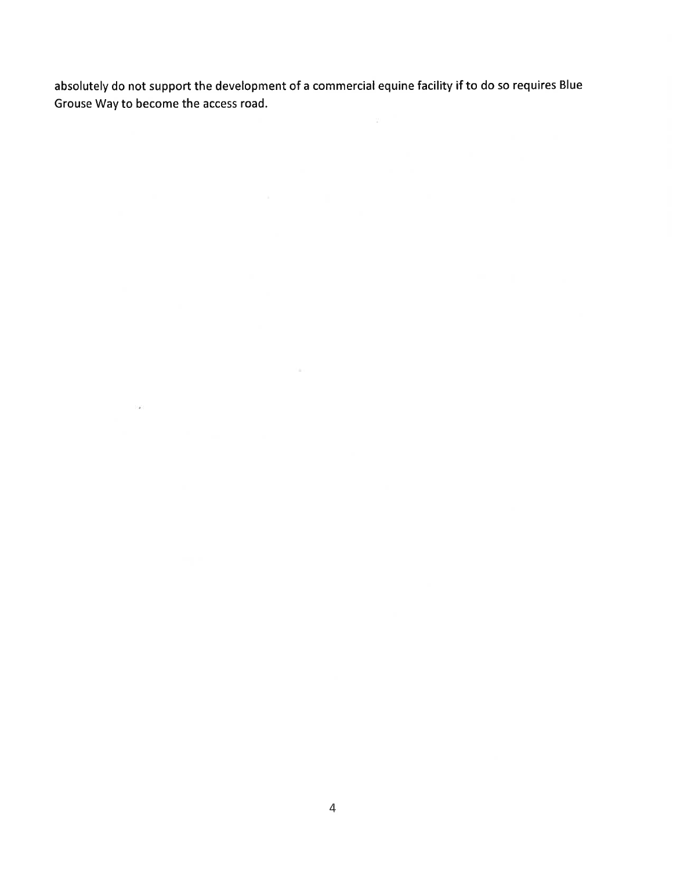absolutely do not support the development of a commercial equine facility if to do so requires Blue Grouse Way to become the access road.

 $\sim$ 

 $\mathcal{L}(\mathbf{z})$  . The contract of  $\mathcal{L}(\mathbf{z})$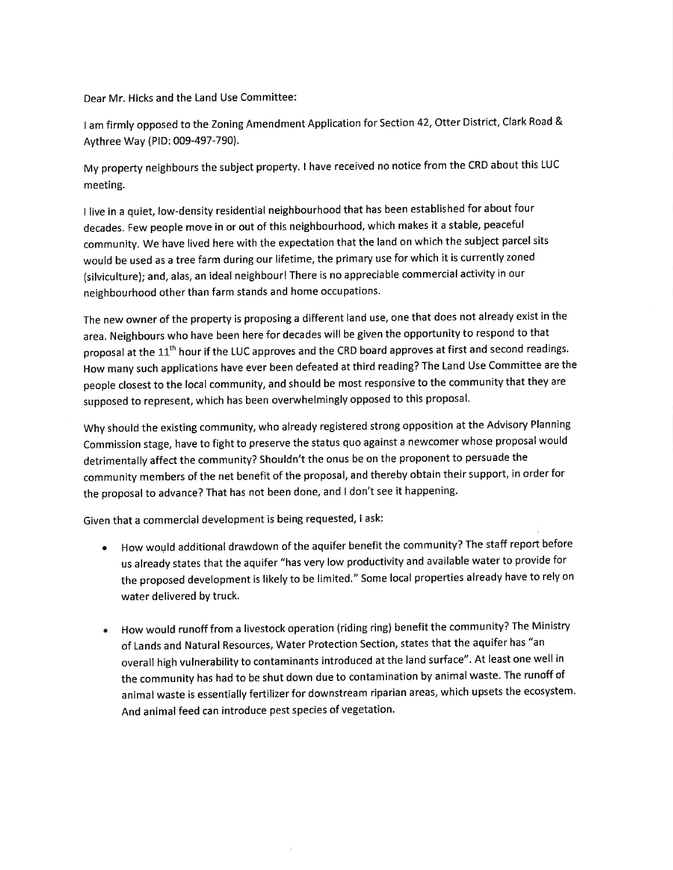Dear Mr. Hicks and the Land Use Committee:

I am firmly opposed to the Zoning Amendment Application for Section 42, Otter District, Clark Road & Aythree Way (PID: 009-497-790).

My property neighbours the subject property. I have received no notice from the CRD about this LUC meeting.

I live in a quiet, low-density residential neighbourhood that has been established for about four decades. Few people move in or out of this neighbourhood, which makes it a stable, peaceful community. We have lived here with the expectation that the land on which the subject parcel sits would be used as a tree farm during our lifetime, the primary use for which it is currently zoned (silviculture); and, alas, an ideal neighbour! There is no appreciable commercial activity in our neighbourhood other than farm stands and home occupations.

The new owner of the property is proposing a different land use, one that does not already exist in the area. Neighbours who have been here for decades will be given the opportunity to respond to that proposal at the 11<sup>th</sup> hour if the LUC approves and the CRD board approves at first and second readings. How many such applications have ever been defeated at third reading? The Land Use Committee are the people closest to the local community, and should be most responsive to the community that they are supposed to represent, which has been overwhelmingly opposed to this proposal.

Why should the existing community, who already registered strong opposition at the Advisory Planning Commission stage, have to fight to preserve the status quo against a newcomer whose proposal would detrimentally affect the community? Shouldn't the onus be on the proponent to persuade the community members of the net benefit of the proposal, and thereby obtain their support, in order for the proposal to advance? That has not been done, and I don't see it happening.

Given that a commercial development is being requested, I ask:

- . How would additional drawdown of the aquifer benefit the community? The staff report before us already states that the aquifer "has very low productivity and available water to provide for the proposed development is likely to be limited." Some local properties already have to rely on water delivered by truck.
- . How would runoff from a livestock operation (riding ring) benefit the community? The Ministry of Lands and Natural Resources, Water Protection Section, states that the aquifer has "an overall high vulnerability to contaminants introduced at the land surface". At least one well in the community has had to be shut down due to contamination by animal waste. The runoff of animal waste is essentially fertilizer for downstream riparian areas, which upsets the ecosystem. And animal feed can introduce pest species of vegetation.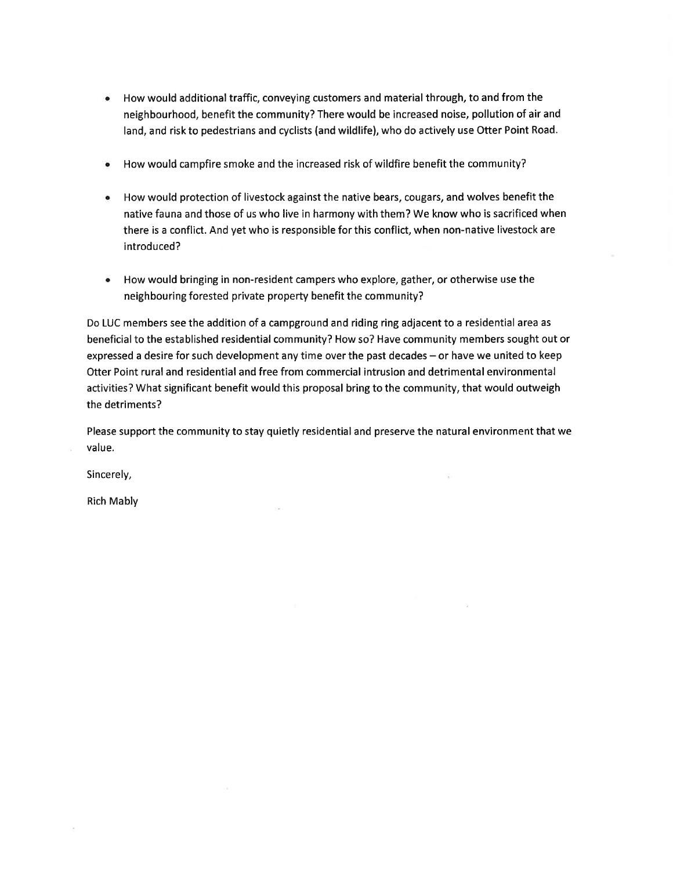- How would additional traffic, conveying customers and material through, to and from the neighbourhood, benefit the community? There would be increased noise, pollution of air and land, and risk to pedestrians and cyclists (and wildlife), who do actively use Otter Point Road.
- How would campfire smoke and the increased risk of wildfire benefit the community?  $\bullet$
- How would protection of livestock against the native bears, cougars, and wolves benefit the native fauna and those of us who live in harmony with them? We know who is sacrificed when there is a conflict. And yet who is responsible for this conflict, when non-native livestock are introduced?
- How would bringing in non-resident campers who explore, gather, or otherwise use the neighbouring forested private property benefit the community?

Do LUC members see the addition of a campground and riding ring adjacent to a residential area as beneficial to the established residential community? How so? Have community members sought out or expressed a desire for such development any time over the past decades - or have we united to keep Otter Point rural and residential and free from commercial intrusion and detrimental environmental activities? What significant benefit would this proposal bring to the community, that would outweigh the detriments?

Please support the community to stay quietly residential and preserve the natural environment that we value.

Sincerely,

**Rich Mably**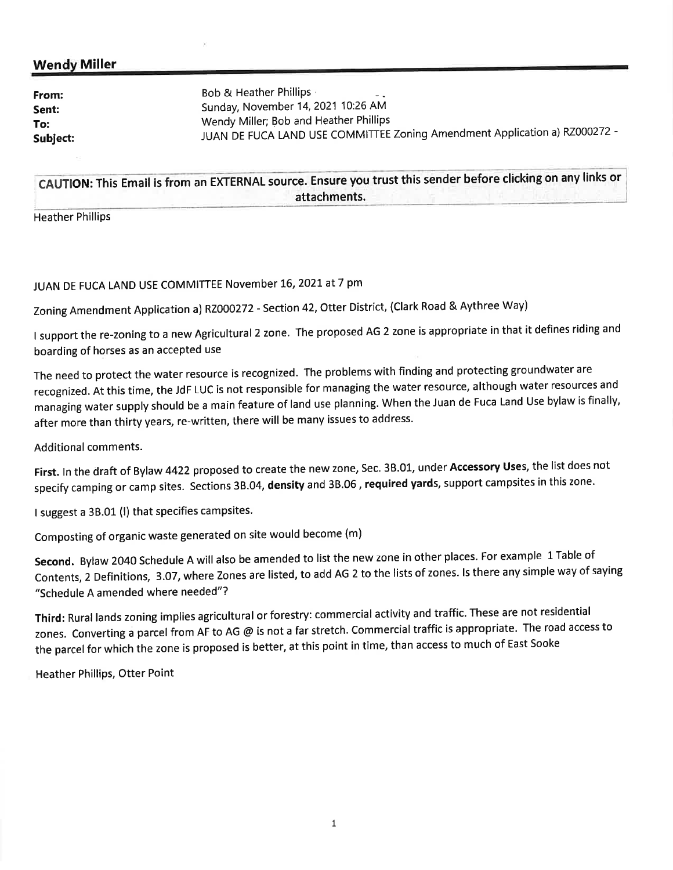## **Wendy Miller**

| From:<br>Sent:<br>To:<br>Subject: | <b>Bob &amp; Heather Phillips</b><br>$ -$<br>Sunday, November 14, 2021 10:26 AM<br>Wendy Miller; Bob and Heather Phillips<br>JUAN DE FUCA LAND USE COMMITTEE Zoning Amendment Application a) RZ000272 - |
|-----------------------------------|---------------------------------------------------------------------------------------------------------------------------------------------------------------------------------------------------------|
|-----------------------------------|---------------------------------------------------------------------------------------------------------------------------------------------------------------------------------------------------------|

CAUTION: This Email is from an EXTERNAL source. Ensure you trust this sender before clicking on any links or attachments.

**Heather Phillips** 

## JUAN DE FUCA LAND USE COMMITTEE November 16, 2021 at 7 pm

Zoning Amendment Application a) RZ000272 - Section 42, Otter District, (Clark Road & Aythree Way)

I support the re-zoning to a new Agricultural 2 zone. The proposed AG 2 zone is appropriate in that it defines riding and boarding of horses as an accepted use

The need to protect the water resource is recognized. The problems with finding and protecting groundwater are recognized. At this time, the JdF LUC is not responsible for managing the water resource, although water resources and managing water supply should be a main feature of land use planning. When the Juan de Fuca Land Use bylaw is finally, after more than thirty years, re-written, there will be many issues to address.

**Additional comments.** 

First. In the draft of Bylaw 4422 proposed to create the new zone, Sec. 3B.01, under Accessory Uses, the list does not specify camping or camp sites. Sections 3B.04, density and 3B.06, required yards, support campsites in this zone.

I suggest a 3B.01 (I) that specifies campsites.

Composting of organic waste generated on site would become (m)

Second. Bylaw 2040 Schedule A will also be amended to list the new zone in other places. For example 1 Table of Contents, 2 Definitions, 3.07, where Zones are listed, to add AG 2 to the lists of zones. Is there any simple way of saying "Schedule A amended where needed"?

Third: Rural lands zoning implies agricultural or forestry: commercial activity and traffic. These are not residential zones. Converting a parcel from AF to AG @ is not a far stretch. Commercial traffic is appropriate. The road access to the parcel for which the zone is proposed is better, at this point in time, than access to much of East Sooke

**Heather Phillips, Otter Point**